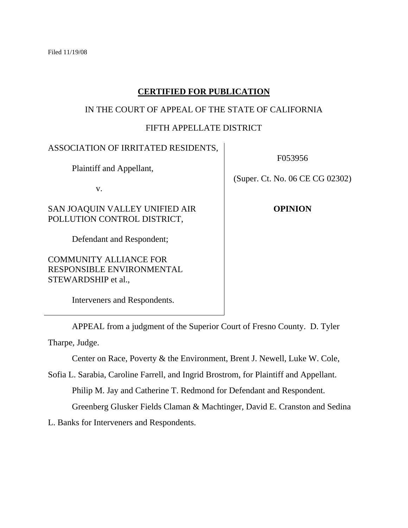# **CERTIFIED FOR PUBLICATION**

### IN THE COURT OF APPEAL OF THE STATE OF CALIFORNIA

# FIFTH APPELLATE DISTRICT

### ASSOCIATION OF IRRITATED RESIDENTS,

Plaintiff and Appellant,

v.

SAN JOAQUIN VALLEY UNIFIED AIR POLLUTION CONTROL DISTRICT,

Defendant and Respondent;

COMMUNITY ALLIANCE FOR RESPONSIBLE ENVIRONMENTAL STEWARDSHIP et al.,

Interveners and Respondents.

F053956

(Super. Ct. No. 06 CE CG 02302)

**OPINION**

 APPEAL from a judgment of the Superior Court of Fresno County. D. Tyler Tharpe, Judge.

Center on Race, Poverty & the Environment, Brent J. Newell, Luke W. Cole,

Sofia L. Sarabia, Caroline Farrell, and Ingrid Brostrom, for Plaintiff and Appellant. Philip M. Jay and Catherine T. Redmond for Defendant and Respondent.

Greenberg Glusker Fields Claman & Machtinger, David E. Cranston and Sedina

L. Banks for Interveners and Respondents.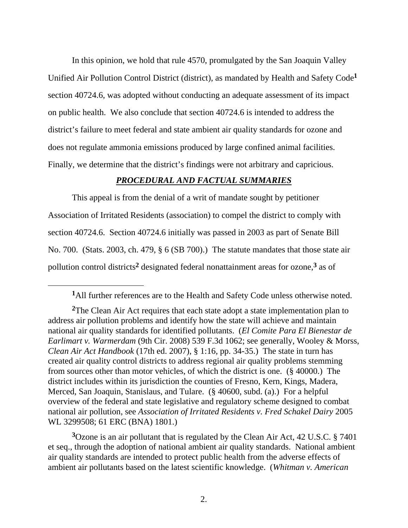In this opinion, we hold that rule 4570, promulgated by the San Joaquin Valley Unified Air Pollution Control District (district), as mandated by Health and Safety Code**<sup>1</sup>** section 40724.6, was adopted without conducting an adequate assessment of its impact on public health. We also conclude that section 40724.6 is intended to address the district's failure to meet federal and state ambient air quality standards for ozone and does not regulate ammonia emissions produced by large confined animal facilities. Finally, we determine that the district's findings were not arbitrary and capricious.

## *PROCEDURAL AND FACTUAL SUMMARIES*

 This appeal is from the denial of a writ of mandate sought by petitioner Association of Irritated Residents (association) to compel the district to comply with section 40724.6. Section 40724.6 initially was passed in 2003 as part of Senate Bill No. 700. (Stats. 2003, ch. 479, § 6 (SB 700).) The statute mandates that those state air pollution control districts**2** designated federal nonattainment areas for ozone,**3** as of

 $\overline{a}$ 

**<sup>3</sup>**Ozone is an air pollutant that is regulated by the Clean Air Act, 42 U.S.C. § 7401 et seq., through the adoption of national ambient air quality standards. National ambient air quality standards are intended to protect public health from the adverse effects of ambient air pollutants based on the latest scientific knowledge. (*Whitman v. American* 

**<sup>1</sup>**All further references are to the Health and Safety Code unless otherwise noted.

**<sup>2</sup>**The Clean Air Act requires that each state adopt a state implementation plan to address air pollution problems and identify how the state will achieve and maintain national air quality standards for identified pollutants. (*El Comite Para El Bienestar de Earlimart v. Warmerdam* (9th Cir. 2008) 539 F.3d 1062; see generally, Wooley & Morss, *Clean Air Act Handbook* (17th ed. 2007), § 1:16, pp. 34-35.) The state in turn has created air quality control districts to address regional air quality problems stemming from sources other than motor vehicles, of which the district is one. (§ 40000.) The district includes within its jurisdiction the counties of Fresno, Kern, Kings, Madera, Merced, San Joaquin, Stanislaus, and Tulare. (§ 40600, subd. (a).) For a helpful overview of the federal and state legislative and regulatory scheme designed to combat national air pollution, see *Association of Irritated Residents v. Fred Schakel Dairy* 2005 WL 3299508; 61 ERC (BNA) 1801.)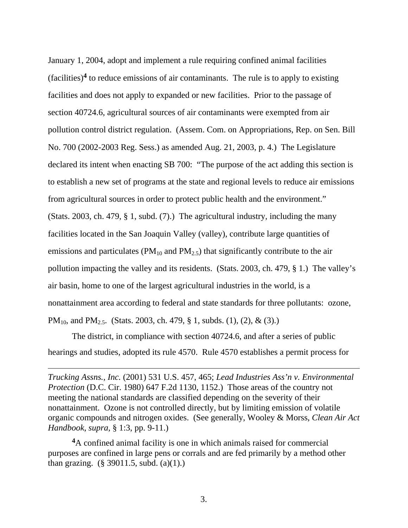January 1, 2004, adopt and implement a rule requiring confined animal facilities (facilities)**4** to reduce emissions of air contaminants. The rule is to apply to existing facilities and does not apply to expanded or new facilities. Prior to the passage of section 40724.6, agricultural sources of air contaminants were exempted from air pollution control district regulation. (Assem. Com. on Appropriations, Rep. on Sen. Bill No. 700 (2002-2003 Reg. Sess.) as amended Aug. 21, 2003, p. 4.) The Legislature declared its intent when enacting SB 700: "The purpose of the act adding this section is to establish a new set of programs at the state and regional levels to reduce air emissions from agricultural sources in order to protect public health and the environment." (Stats. 2003, ch. 479, § 1, subd. (7).) The agricultural industry, including the many facilities located in the San Joaquin Valley (valley), contribute large quantities of emissions and particulates ( $PM_{10}$  and  $PM_{2.5}$ ) that significantly contribute to the air pollution impacting the valley and its residents. (Stats. 2003, ch. 479, § 1.) The valley's air basin, home to one of the largest agricultural industries in the world, is a nonattainment area according to federal and state standards for three pollutants: ozone, PM<sub>10</sub>, and PM<sub>2.5</sub>. (Stats. 2003, ch. 479, § 1, subds. (1), (2), & (3).)

 The district, in compliance with section 40724.6, and after a series of public hearings and studies, adopted its rule 4570. Rule 4570 establishes a permit process for

 $\overline{a}$ 

*Trucking Assns., Inc.* (2001) 531 U.S. 457, 465; *Lead Industries Ass'n v. Environmental Protection* (D.C. Cir. 1980) 647 F.2d 1130, 1152.) Those areas of the country not meeting the national standards are classified depending on the severity of their nonattainment. Ozone is not controlled directly, but by limiting emission of volatile organic compounds and nitrogen oxides. (See generally, Wooley & Morss, *Clean Air Act Handbook*, *supra,* § 1:3, pp. 9-11.)

**<sup>4</sup>**A confined animal facility is one in which animals raised for commercial purposes are confined in large pens or corrals and are fed primarily by a method other than grazing. (§ 39011.5, subd. (a)(1).)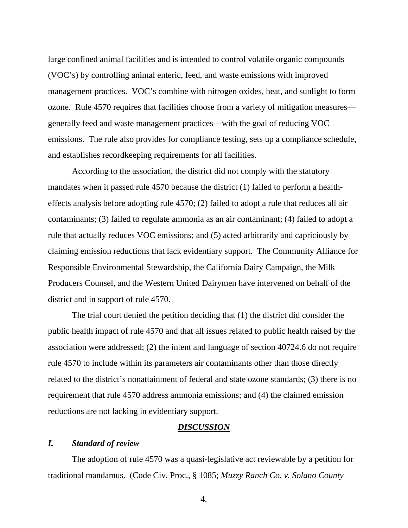large confined animal facilities and is intended to control volatile organic compounds (VOC's) by controlling animal enteric, feed, and waste emissions with improved management practices. VOC's combine with nitrogen oxides, heat, and sunlight to form ozone. Rule 4570 requires that facilities choose from a variety of mitigation measures generally feed and waste management practices—with the goal of reducing VOC emissions. The rule also provides for compliance testing, sets up a compliance schedule, and establishes recordkeeping requirements for all facilities.

 According to the association, the district did not comply with the statutory mandates when it passed rule 4570 because the district (1) failed to perform a healtheffects analysis before adopting rule 4570; (2) failed to adopt a rule that reduces all air contaminants; (3) failed to regulate ammonia as an air contaminant; (4) failed to adopt a rule that actually reduces VOC emissions; and (5) acted arbitrarily and capriciously by claiming emission reductions that lack evidentiary support. The Community Alliance for Responsible Environmental Stewardship, the California Dairy Campaign, the Milk Producers Counsel, and the Western United Dairymen have intervened on behalf of the district and in support of rule 4570.

 The trial court denied the petition deciding that (1) the district did consider the public health impact of rule 4570 and that all issues related to public health raised by the association were addressed; (2) the intent and language of section 40724.6 do not require rule 4570 to include within its parameters air contaminants other than those directly related to the district's nonattainment of federal and state ozone standards; (3) there is no requirement that rule 4570 address ammonia emissions; and (4) the claimed emission reductions are not lacking in evidentiary support.

### *DISCUSSION*

### *I. Standard of review*

 The adoption of rule 4570 was a quasi-legislative act reviewable by a petition for traditional mandamus. (Code Civ. Proc., § 1085; *Muzzy Ranch Co. v. Solano County*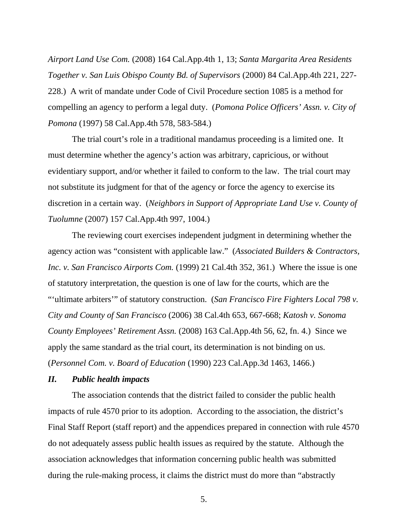*Airport Land Use Com.* (2008) 164 Cal.App.4th 1, 13; *Santa Margarita Area Residents Together v. San Luis Obispo County Bd. of Supervisors* (2000) 84 Cal.App.4th 221, 227- 228.) A writ of mandate under Code of Civil Procedure section 1085 is a method for compelling an agency to perform a legal duty. (*Pomona Police Officers' Assn. v. City of Pomona* (1997) 58 Cal.App.4th 578, 583-584.)

 The trial court's role in a traditional mandamus proceeding is a limited one. It must determine whether the agency's action was arbitrary, capricious, or without evidentiary support, and/or whether it failed to conform to the law. The trial court may not substitute its judgment for that of the agency or force the agency to exercise its discretion in a certain way. (*Neighbors in Support of Appropriate Land Use v. County of Tuolumne* (2007) 157 Cal.App.4th 997, 1004.)

 The reviewing court exercises independent judgment in determining whether the agency action was "consistent with applicable law." (*Associated Builders & Contractors, Inc. v. San Francisco Airports Com.* (1999) 21 Cal.4th 352, 361.) Where the issue is one of statutory interpretation, the question is one of law for the courts, which are the "'ultimate arbiters'" of statutory construction. (*San Francisco Fire Fighters Local 798 v. City and County of San Francisco* (2006) 38 Cal.4th 653, 667-668; *Katosh v. Sonoma County Employees' Retirement Assn.* (2008) 163 Cal.App.4th 56, 62, fn. 4.) Since we apply the same standard as the trial court, its determination is not binding on us. (*Personnel Com. v. Board of Education* (1990) 223 Cal.App.3d 1463, 1466.)

### *II. Public health impacts*

 The association contends that the district failed to consider the public health impacts of rule 4570 prior to its adoption. According to the association, the district's Final Staff Report (staff report) and the appendices prepared in connection with rule 4570 do not adequately assess public health issues as required by the statute. Although the association acknowledges that information concerning public health was submitted during the rule-making process, it claims the district must do more than "abstractly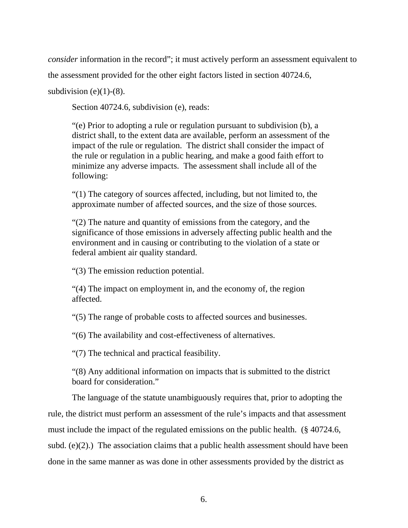*consider* information in the record"; it must actively perform an assessment equivalent to

the assessment provided for the other eight factors listed in section 40724.6,

subdivision (e) $(1)-(8)$ .

Section 40724.6, subdivision (e), reads:

"(e) Prior to adopting a rule or regulation pursuant to subdivision (b), a district shall, to the extent data are available, perform an assessment of the impact of the rule or regulation. The district shall consider the impact of the rule or regulation in a public hearing, and make a good faith effort to minimize any adverse impacts. The assessment shall include all of the following:

"(1) The category of sources affected, including, but not limited to, the approximate number of affected sources, and the size of those sources.

"(2) The nature and quantity of emissions from the category, and the significance of those emissions in adversely affecting public health and the environment and in causing or contributing to the violation of a state or federal ambient air quality standard.

"(3) The emission reduction potential.

"(4) The impact on employment in, and the economy of, the region affected.

"(5) The range of probable costs to affected sources and businesses.

"(6) The availability and cost-effectiveness of alternatives.

"(7) The technical and practical feasibility.

"(8) Any additional information on impacts that is submitted to the district board for consideration."

 The language of the statute unambiguously requires that, prior to adopting the rule, the district must perform an assessment of the rule's impacts and that assessment must include the impact of the regulated emissions on the public health. (§ 40724.6, subd. (e)(2).) The association claims that a public health assessment should have been done in the same manner as was done in other assessments provided by the district as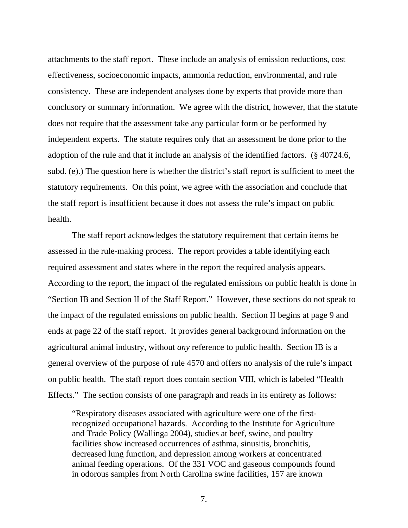attachments to the staff report. These include an analysis of emission reductions, cost effectiveness, socioeconomic impacts, ammonia reduction, environmental, and rule consistency. These are independent analyses done by experts that provide more than conclusory or summary information. We agree with the district, however, that the statute does not require that the assessment take any particular form or be performed by independent experts. The statute requires only that an assessment be done prior to the adoption of the rule and that it include an analysis of the identified factors. (§ 40724.6, subd. (e).) The question here is whether the district's staff report is sufficient to meet the statutory requirements. On this point, we agree with the association and conclude that the staff report is insufficient because it does not assess the rule's impact on public health.

 The staff report acknowledges the statutory requirement that certain items be assessed in the rule-making process. The report provides a table identifying each required assessment and states where in the report the required analysis appears. According to the report, the impact of the regulated emissions on public health is done in "Section IB and Section II of the Staff Report." However, these sections do not speak to the impact of the regulated emissions on public health. Section II begins at page 9 and ends at page 22 of the staff report. It provides general background information on the agricultural animal industry, without *any* reference to public health. Section IB is a general overview of the purpose of rule 4570 and offers no analysis of the rule's impact on public health. The staff report does contain section VIII, which is labeled "Health Effects." The section consists of one paragraph and reads in its entirety as follows:

"Respiratory diseases associated with agriculture were one of the firstrecognized occupational hazards. According to the Institute for Agriculture and Trade Policy (Wallinga 2004), studies at beef, swine, and poultry facilities show increased occurrences of asthma, sinusitis, bronchitis, decreased lung function, and depression among workers at concentrated animal feeding operations. Of the 331 VOC and gaseous compounds found in odorous samples from North Carolina swine facilities, 157 are known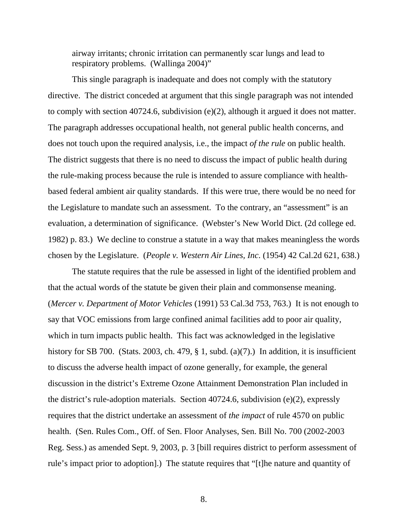airway irritants; chronic irritation can permanently scar lungs and lead to respiratory problems. (Wallinga 2004)"

 This single paragraph is inadequate and does not comply with the statutory directive. The district conceded at argument that this single paragraph was not intended to comply with section 40724.6, subdivision (e)(2), although it argued it does not matter. The paragraph addresses occupational health, not general public health concerns, and does not touch upon the required analysis, i.e., the impact *of the rule* on public health. The district suggests that there is no need to discuss the impact of public health during the rule-making process because the rule is intended to assure compliance with healthbased federal ambient air quality standards. If this were true, there would be no need for the Legislature to mandate such an assessment. To the contrary, an "assessment" is an evaluation, a determination of significance. (Webster's New World Dict. (2d college ed. 1982) p. 83.) We decline to construe a statute in a way that makes meaningless the words chosen by the Legislature. (*People v. Western Air Lines, Inc*. (1954) 42 Cal.2d 621, 638.)

The statute requires that the rule be assessed in light of the identified problem and that the actual words of the statute be given their plain and commonsense meaning. (*Mercer v. Department of Motor Vehicles* (1991) 53 Cal.3d 753, 763.) It is not enough to say that VOC emissions from large confined animal facilities add to poor air quality, which in turn impacts public health. This fact was acknowledged in the legislative history for SB 700. (Stats. 2003, ch. 479,  $\S$  1, subd. (a)(7).) In addition, it is insufficient to discuss the adverse health impact of ozone generally, for example, the general discussion in the district's Extreme Ozone Attainment Demonstration Plan included in the district's rule-adoption materials. Section 40724.6, subdivision (e)(2), expressly requires that the district undertake an assessment of *the impact* of rule 4570 on public health. (Sen. Rules Com., Off. of Sen. Floor Analyses, Sen. Bill No. 700 (2002-2003 Reg. Sess.) as amended Sept. 9, 2003, p. 3 [bill requires district to perform assessment of rule's impact prior to adoption].) The statute requires that "[t]he nature and quantity of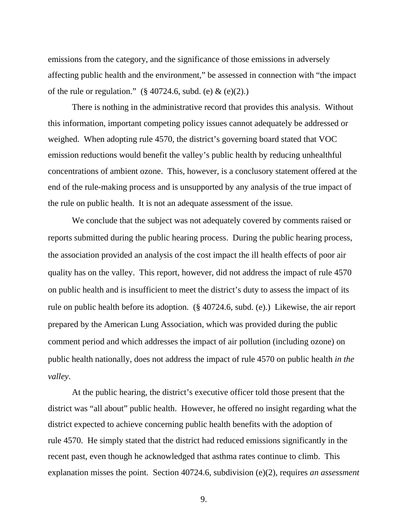emissions from the category, and the significance of those emissions in adversely affecting public health and the environment," be assessed in connection with "the impact of the rule or regulation." (§ 40724.6, subd. (e)  $\&$  (e)(2).)

 There is nothing in the administrative record that provides this analysis. Without this information, important competing policy issues cannot adequately be addressed or weighed. When adopting rule 4570, the district's governing board stated that VOC emission reductions would benefit the valley's public health by reducing unhealthful concentrations of ambient ozone. This, however, is a conclusory statement offered at the end of the rule-making process and is unsupported by any analysis of the true impact of the rule on public health. It is not an adequate assessment of the issue.

 We conclude that the subject was not adequately covered by comments raised or reports submitted during the public hearing process. During the public hearing process, the association provided an analysis of the cost impact the ill health effects of poor air quality has on the valley. This report, however, did not address the impact of rule 4570 on public health and is insufficient to meet the district's duty to assess the impact of its rule on public health before its adoption. (§ 40724.6, subd. (e).) Likewise, the air report prepared by the American Lung Association, which was provided during the public comment period and which addresses the impact of air pollution (including ozone) on public health nationally, does not address the impact of rule 4570 on public health *in the valley*.

 At the public hearing, the district's executive officer told those present that the district was "all about" public health. However, he offered no insight regarding what the district expected to achieve concerning public health benefits with the adoption of rule 4570. He simply stated that the district had reduced emissions significantly in the recent past, even though he acknowledged that asthma rates continue to climb. This explanation misses the point. Section 40724.6, subdivision (e)(2), requires *an assessment*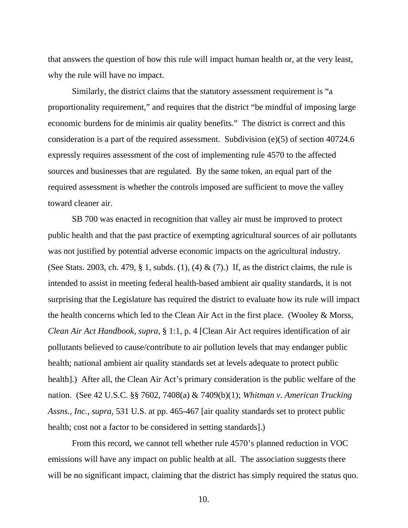that answers the question of how this rule will impact human health or, at the very least, why the rule will have no impact.

 Similarly, the district claims that the statutory assessment requirement is "a proportionality requirement," and requires that the district "be mindful of imposing large economic burdens for de minimis air quality benefits." The district is correct and this consideration is a part of the required assessment. Subdivision (e)(5) of section 40724.6 expressly requires assessment of the cost of implementing rule 4570 to the affected sources and businesses that are regulated. By the same token, an equal part of the required assessment is whether the controls imposed are sufficient to move the valley toward cleaner air.

SB 700 was enacted in recognition that valley air must be improved to protect public health and that the past practice of exempting agricultural sources of air pollutants was not justified by potential adverse economic impacts on the agricultural industry. (See Stats. 2003, ch. 479, § 1, subds. (1), (4) & (7).) If, as the district claims, the rule is intended to assist in meeting federal health-based ambient air quality standards, it is not surprising that the Legislature has required the district to evaluate how its rule will impact the health concerns which led to the Clean Air Act in the first place. (Wooley & Morss, *Clean Air Act Handbook*, *supra,* § 1:1, p. 4 [Clean Air Act requires identification of air pollutants believed to cause/contribute to air pollution levels that may endanger public health; national ambient air quality standards set at levels adequate to protect public health.) After all, the Clean Air Act's primary consideration is the public welfare of the nation. (See 42 U.S.C. §§ 7602, 7408(a) & 7409(b)(1); *Whitman v. American Trucking Assns., Inc., supra,* 531 U.S. at pp. 465-467 [air quality standards set to protect public health; cost not a factor to be considered in setting standards].)

 From this record, we cannot tell whether rule 4570's planned reduction in VOC emissions will have any impact on public health at all. The association suggests there will be no significant impact, claiming that the district has simply required the status quo.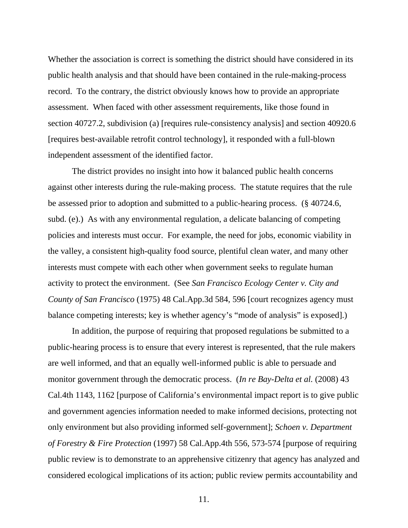Whether the association is correct is something the district should have considered in its public health analysis and that should have been contained in the rule-making-process record. To the contrary, the district obviously knows how to provide an appropriate assessment. When faced with other assessment requirements, like those found in section 40727.2, subdivision (a) [requires rule-consistency analysis] and section 40920.6 [requires best-available retrofit control technology], it responded with a full-blown independent assessment of the identified factor.

 The district provides no insight into how it balanced public health concerns against other interests during the rule-making process. The statute requires that the rule be assessed prior to adoption and submitted to a public-hearing process. (§ 40724.6, subd. (e).) As with any environmental regulation, a delicate balancing of competing policies and interests must occur. For example, the need for jobs, economic viability in the valley, a consistent high-quality food source, plentiful clean water, and many other interests must compete with each other when government seeks to regulate human activity to protect the environment. (See *San Francisco Ecology Center v. City and County of San Francisco* (1975) 48 Cal.App.3d 584, 596 [court recognizes agency must balance competing interests; key is whether agency's "mode of analysis" is exposed].)

In addition, the purpose of requiring that proposed regulations be submitted to a public-hearing process is to ensure that every interest is represented, that the rule makers are well informed, and that an equally well-informed public is able to persuade and monitor government through the democratic process. (*In re Bay-Delta et al.* (2008) 43 Cal.4th 1143, 1162 [purpose of California's environmental impact report is to give public and government agencies information needed to make informed decisions, protecting not only environment but also providing informed self-government]; *Schoen v. Department of Forestry & Fire Protection* (1997) 58 Cal.App.4th 556, 573-574 [purpose of requiring public review is to demonstrate to an apprehensive citizenry that agency has analyzed and considered ecological implications of its action; public review permits accountability and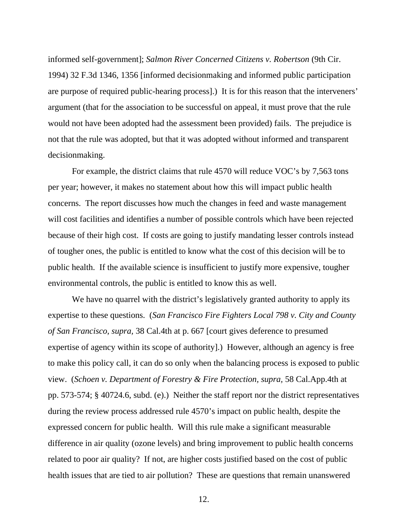informed self-government]; *Salmon River Concerned Citizens v. Robertson* (9th Cir. 1994) 32 F.3d 1346, 1356 [informed decisionmaking and informed public participation are purpose of required public-hearing process].) It is for this reason that the interveners' argument (that for the association to be successful on appeal, it must prove that the rule would not have been adopted had the assessment been provided) fails. The prejudice is not that the rule was adopted, but that it was adopted without informed and transparent decisionmaking.

 For example, the district claims that rule 4570 will reduce VOC's by 7,563 tons per year; however, it makes no statement about how this will impact public health concerns. The report discusses how much the changes in feed and waste management will cost facilities and identifies a number of possible controls which have been rejected because of their high cost. If costs are going to justify mandating lesser controls instead of tougher ones, the public is entitled to know what the cost of this decision will be to public health. If the available science is insufficient to justify more expensive, tougher environmental controls, the public is entitled to know this as well.

We have no quarrel with the district's legislatively granted authority to apply its expertise to these questions. (*San Francisco Fire Fighters Local 798 v. City and County of San Francisco, supra,* 38 Cal.4th at p. 667 [court gives deference to presumed expertise of agency within its scope of authority].) However, although an agency is free to make this policy call, it can do so only when the balancing process is exposed to public view. (*Schoen v. Department of Forestry & Fire Protection, supra,* 58 Cal.App.4th at pp. 573-574; § 40724.6, subd. (e).) Neither the staff report nor the district representatives during the review process addressed rule 4570's impact on public health, despite the expressed concern for public health. Will this rule make a significant measurable difference in air quality (ozone levels) and bring improvement to public health concerns related to poor air quality? If not, are higher costs justified based on the cost of public health issues that are tied to air pollution? These are questions that remain unanswered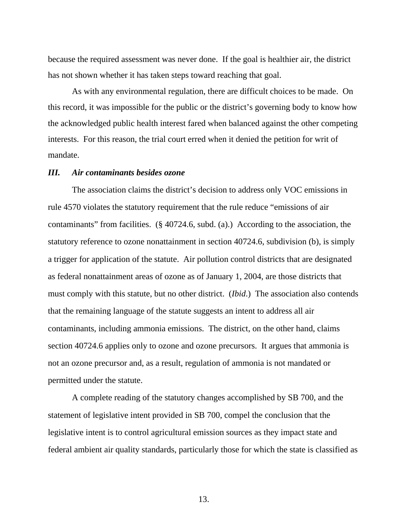because the required assessment was never done. If the goal is healthier air, the district has not shown whether it has taken steps toward reaching that goal.

 As with any environmental regulation, there are difficult choices to be made. On this record, it was impossible for the public or the district's governing body to know how the acknowledged public health interest fared when balanced against the other competing interests. For this reason, the trial court erred when it denied the petition for writ of mandate.

### *III. Air contaminants besides ozone*

 The association claims the district's decision to address only VOC emissions in rule 4570 violates the statutory requirement that the rule reduce "emissions of air contaminants" from facilities. (§ 40724.6, subd. (a).) According to the association, the statutory reference to ozone nonattainment in section 40724.6, subdivision (b), is simply a trigger for application of the statute. Air pollution control districts that are designated as federal nonattainment areas of ozone as of January 1, 2004, are those districts that must comply with this statute, but no other district. (*Ibid*.) The association also contends that the remaining language of the statute suggests an intent to address all air contaminants, including ammonia emissions. The district, on the other hand, claims section 40724.6 applies only to ozone and ozone precursors. It argues that ammonia is not an ozone precursor and, as a result, regulation of ammonia is not mandated or permitted under the statute.

 A complete reading of the statutory changes accomplished by SB 700, and the statement of legislative intent provided in SB 700, compel the conclusion that the legislative intent is to control agricultural emission sources as they impact state and federal ambient air quality standards, particularly those for which the state is classified as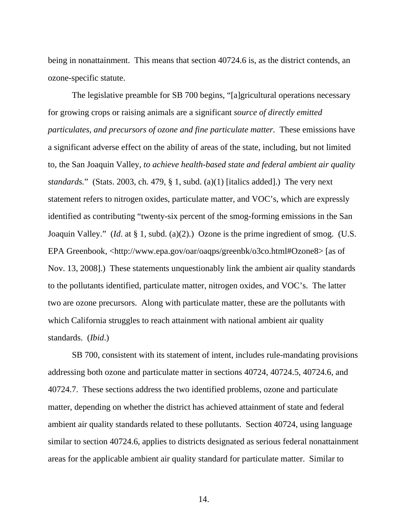being in nonattainment. This means that section 40724.6 is, as the district contends, an ozone-specific statute.

The legislative preamble for SB 700 begins, "[a]gricultural operations necessary for growing crops or raising animals are a significant *source of directly emitted particulates, and precursors of ozone and fine particulate matter.* These emissions have a significant adverse effect on the ability of areas of the state, including, but not limited to, the San Joaquin Valley, *to achieve health-based state and federal ambient air quality standards.*" (Stats. 2003, ch. 479, § 1, subd. (a)(1) [italics added].) The very next statement refers to nitrogen oxides, particulate matter, and VOC's, which are expressly identified as contributing "twenty-six percent of the smog-forming emissions in the San Joaquin Valley." (*Id*. at § 1, subd. (a)(2).) Ozone is the prime ingredient of smog. (U.S. EPA Greenbook, <http://www.epa.gov/oar/oaqps/greenbk/o3co.html#Ozone8> [as of Nov. 13, 2008].) These statements unquestionably link the ambient air quality standards to the pollutants identified, particulate matter, nitrogen oxides, and VOC's. The latter two are ozone precursors. Along with particulate matter, these are the pollutants with which California struggles to reach attainment with national ambient air quality standards. (*Ibid*.)

 SB 700, consistent with its statement of intent, includes rule-mandating provisions addressing both ozone and particulate matter in sections 40724, 40724.5, 40724.6, and 40724.7. These sections address the two identified problems, ozone and particulate matter, depending on whether the district has achieved attainment of state and federal ambient air quality standards related to these pollutants. Section 40724, using language similar to section 40724.6, applies to districts designated as serious federal nonattainment areas for the applicable ambient air quality standard for particulate matter. Similar to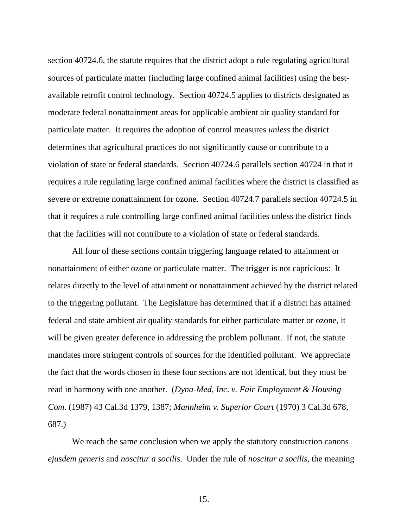section 40724.6, the statute requires that the district adopt a rule regulating agricultural sources of particulate matter (including large confined animal facilities) using the bestavailable retrofit control technology. Section 40724.5 applies to districts designated as moderate federal nonattainment areas for applicable ambient air quality standard for particulate matter. It requires the adoption of control measures *unless* the district determines that agricultural practices do not significantly cause or contribute to a violation of state or federal standards. Section 40724.6 parallels section 40724 in that it requires a rule regulating large confined animal facilities where the district is classified as severe or extreme nonattainment for ozone. Section 40724.7 parallels section 40724.5 in that it requires a rule controlling large confined animal facilities unless the district finds that the facilities will not contribute to a violation of state or federal standards.

 All four of these sections contain triggering language related to attainment or nonattainment of either ozone or particulate matter. The trigger is not capricious: It relates directly to the level of attainment or nonattainment achieved by the district related to the triggering pollutant. The Legislature has determined that if a district has attained federal and state ambient air quality standards for either particulate matter or ozone, it will be given greater deference in addressing the problem pollutant. If not, the statute mandates more stringent controls of sources for the identified pollutant. We appreciate the fact that the words chosen in these four sections are not identical, but they must be read in harmony with one another. (*Dyna-Med, Inc*. *v. Fair Employment & Housing Com.* (1987) 43 Cal.3d 1379, 1387; *Mannheim v. Superior Court* (1970) 3 Cal.3d 678, 687.)

 We reach the same conclusion when we apply the statutory construction canons *ejusdem generis* and *noscitur a socilis*. Under the rule of *noscitur a socilis*, the meaning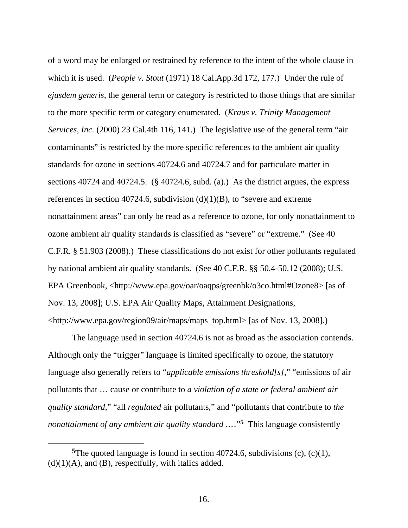of a word may be enlarged or restrained by reference to the intent of the whole clause in which it is used. (*People v. Stout* (1971) 18 Cal.App.3d 172, 177.) Under the rule of *ejusdem generis,* the general term or category is restricted to those things that are similar to the more specific term or category enumerated. (*Kraus v. Trinity Management Services, Inc.* (2000) 23 Cal.4th 116, 141.) The legislative use of the general term "air contaminants" is restricted by the more specific references to the ambient air quality standards for ozone in sections 40724.6 and 40724.7 and for particulate matter in sections 40724 and 40724.5. (§ 40724.6, subd. (a).) As the district argues, the express references in section 40724.6, subdivision  $(d)(1)(B)$ , to "severe and extreme" nonattainment areas" can only be read as a reference to ozone, for only nonattainment to ozone ambient air quality standards is classified as "severe" or "extreme." (See 40 C.F.R. § 51.903 (2008).) These classifications do not exist for other pollutants regulated by national ambient air quality standards. (See 40 C.F.R. §§ 50.4-50.12 (2008); U.S. EPA Greenbook, <http://www.epa.gov/oar/oaqps/greenbk/o3co.html#Ozone8> [as of Nov. 13, 2008]; U.S. EPA Air Quality Maps, Attainment Designations, <http://www.epa.gov/region09/air/maps/maps\_top.html> [as of Nov. 13, 2008].)

 The language used in section 40724.6 is not as broad as the association contends. Although only the "trigger" language is limited specifically to ozone, the statutory language also generally refers to "*applicable emissions threshold[s]*," "emissions of air pollutants that … cause or contribute to *a violation of a state or federal ambient air quality standard*," "all *regulated* air pollutants," and "pollutants that contribute to *the nonattainment of any ambient air quality standard* .…"**5** This language consistently

 $\overline{a}$ 

**<sup>5</sup>**The quoted language is found in section 40724.6, subdivisions (c), (c)(1),  $(d)(1)(A)$ , and  $(B)$ , respectfully, with italics added.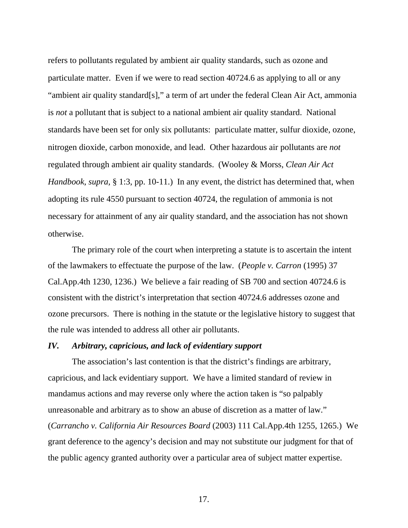refers to pollutants regulated by ambient air quality standards, such as ozone and particulate matter. Even if we were to read section 40724.6 as applying to all or any "ambient air quality standard[s]," a term of art under the federal Clean Air Act, ammonia is *not* a pollutant that is subject to a national ambient air quality standard. National standards have been set for only six pollutants: particulate matter, sulfur dioxide, ozone, nitrogen dioxide, carbon monoxide, and lead. Other hazardous air pollutants are *not* regulated through ambient air quality standards. (Wooley & Morss, *Clean Air Act Handbook*, *supra,* § 1:3, pp. 10-11.) In any event, the district has determined that, when adopting its rule 4550 pursuant to section 40724, the regulation of ammonia is not necessary for attainment of any air quality standard, and the association has not shown otherwise.

 The primary role of the court when interpreting a statute is to ascertain the intent of the lawmakers to effectuate the purpose of the law. (*People v. Carron* (1995) 37 Cal.App.4th 1230, 1236.) We believe a fair reading of SB 700 and section 40724.6 is consistent with the district's interpretation that section 40724.6 addresses ozone and ozone precursors. There is nothing in the statute or the legislative history to suggest that the rule was intended to address all other air pollutants.

#### *IV. Arbitrary, capricious, and lack of evidentiary support*

 The association's last contention is that the district's findings are arbitrary, capricious, and lack evidentiary support. We have a limited standard of review in mandamus actions and may reverse only where the action taken is "so palpably unreasonable and arbitrary as to show an abuse of discretion as a matter of law." (*Carrancho v. California Air Resources Board* (2003) 111 Cal.App.4th 1255, 1265.) We grant deference to the agency's decision and may not substitute our judgment for that of the public agency granted authority over a particular area of subject matter expertise.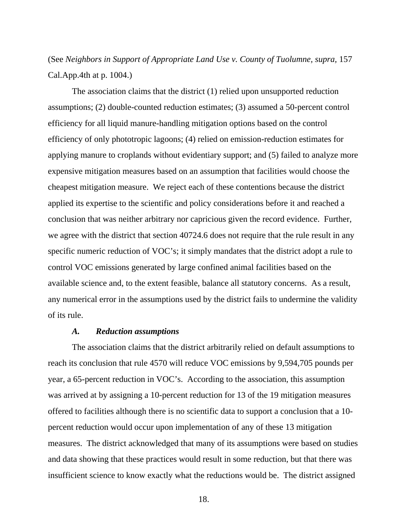(See *Neighbors in Support of Appropriate Land Use v. County of Tuolumne, supra,* 157 Cal.App.4th at p. 1004.)

 The association claims that the district (1) relied upon unsupported reduction assumptions; (2) double-counted reduction estimates; (3) assumed a 50-percent control efficiency for all liquid manure-handling mitigation options based on the control efficiency of only phototropic lagoons; (4) relied on emission-reduction estimates for applying manure to croplands without evidentiary support; and (5) failed to analyze more expensive mitigation measures based on an assumption that facilities would choose the cheapest mitigation measure. We reject each of these contentions because the district applied its expertise to the scientific and policy considerations before it and reached a conclusion that was neither arbitrary nor capricious given the record evidence. Further, we agree with the district that section 40724.6 does not require that the rule result in any specific numeric reduction of VOC's; it simply mandates that the district adopt a rule to control VOC emissions generated by large confined animal facilities based on the available science and, to the extent feasible, balance all statutory concerns. As a result, any numerical error in the assumptions used by the district fails to undermine the validity of its rule.

#### *A. Reduction assumptions*

 The association claims that the district arbitrarily relied on default assumptions to reach its conclusion that rule 4570 will reduce VOC emissions by 9,594,705 pounds per year, a 65-percent reduction in VOC's. According to the association, this assumption was arrived at by assigning a 10-percent reduction for 13 of the 19 mitigation measures offered to facilities although there is no scientific data to support a conclusion that a 10 percent reduction would occur upon implementation of any of these 13 mitigation measures. The district acknowledged that many of its assumptions were based on studies and data showing that these practices would result in some reduction, but that there was insufficient science to know exactly what the reductions would be. The district assigned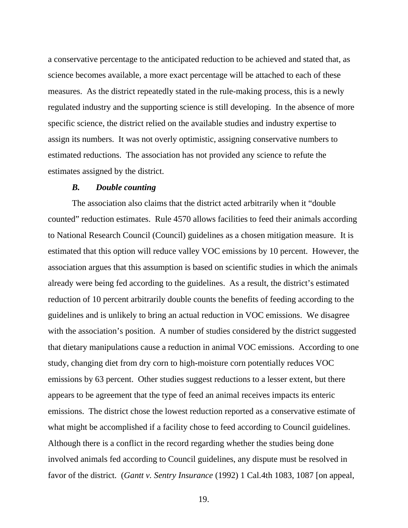a conservative percentage to the anticipated reduction to be achieved and stated that, as science becomes available, a more exact percentage will be attached to each of these measures. As the district repeatedly stated in the rule-making process, this is a newly regulated industry and the supporting science is still developing. In the absence of more specific science, the district relied on the available studies and industry expertise to assign its numbers. It was not overly optimistic, assigning conservative numbers to estimated reductions. The association has not provided any science to refute the estimates assigned by the district.

#### *B. Double counting*

 The association also claims that the district acted arbitrarily when it "double counted" reduction estimates. Rule 4570 allows facilities to feed their animals according to National Research Council (Council) guidelines as a chosen mitigation measure. It is estimated that this option will reduce valley VOC emissions by 10 percent. However, the association argues that this assumption is based on scientific studies in which the animals already were being fed according to the guidelines. As a result, the district's estimated reduction of 10 percent arbitrarily double counts the benefits of feeding according to the guidelines and is unlikely to bring an actual reduction in VOC emissions. We disagree with the association's position. A number of studies considered by the district suggested that dietary manipulations cause a reduction in animal VOC emissions. According to one study, changing diet from dry corn to high-moisture corn potentially reduces VOC emissions by 63 percent. Other studies suggest reductions to a lesser extent, but there appears to be agreement that the type of feed an animal receives impacts its enteric emissions. The district chose the lowest reduction reported as a conservative estimate of what might be accomplished if a facility chose to feed according to Council guidelines. Although there is a conflict in the record regarding whether the studies being done involved animals fed according to Council guidelines, any dispute must be resolved in favor of the district. (*Gantt v. Sentry Insurance* (1992) 1 Cal.4th 1083, 1087 [on appeal,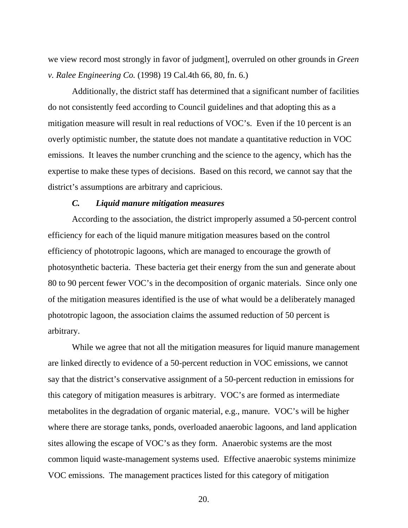we view record most strongly in favor of judgment], overruled on other grounds in *Green v. Ralee Engineering Co.* (1998) 19 Cal.4th 66, 80, fn. 6.)

Additionally, the district staff has determined that a significant number of facilities do not consistently feed according to Council guidelines and that adopting this as a mitigation measure will result in real reductions of VOC's. Even if the 10 percent is an overly optimistic number, the statute does not mandate a quantitative reduction in VOC emissions. It leaves the number crunching and the science to the agency, which has the expertise to make these types of decisions. Based on this record, we cannot say that the district's assumptions are arbitrary and capricious.

#### *C. Liquid manure mitigation measures*

 According to the association, the district improperly assumed a 50-percent control efficiency for each of the liquid manure mitigation measures based on the control efficiency of phototropic lagoons, which are managed to encourage the growth of photosynthetic bacteria. These bacteria get their energy from the sun and generate about 80 to 90 percent fewer VOC's in the decomposition of organic materials. Since only one of the mitigation measures identified is the use of what would be a deliberately managed phototropic lagoon, the association claims the assumed reduction of 50 percent is arbitrary.

 While we agree that not all the mitigation measures for liquid manure management are linked directly to evidence of a 50-percent reduction in VOC emissions, we cannot say that the district's conservative assignment of a 50-percent reduction in emissions for this category of mitigation measures is arbitrary. VOC's are formed as intermediate metabolites in the degradation of organic material, e.g., manure. VOC's will be higher where there are storage tanks, ponds, overloaded anaerobic lagoons, and land application sites allowing the escape of VOC's as they form. Anaerobic systems are the most common liquid waste-management systems used. Effective anaerobic systems minimize VOC emissions. The management practices listed for this category of mitigation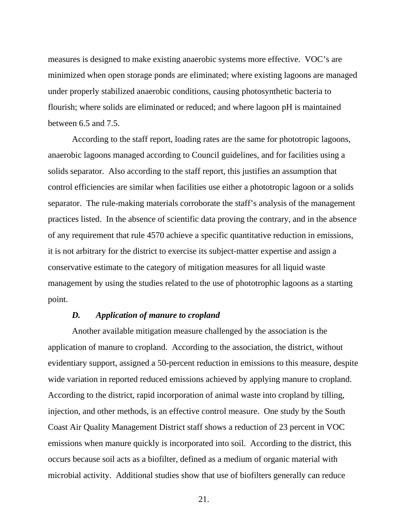measures is designed to make existing anaerobic systems more effective. VOC's are minimized when open storage ponds are eliminated; where existing lagoons are managed under properly stabilized anaerobic conditions, causing photosynthetic bacteria to flourish; where solids are eliminated or reduced; and where lagoon pH is maintained between 6.5 and 7.5.

 According to the staff report, loading rates are the same for phototropic lagoons, anaerobic lagoons managed according to Council guidelines, and for facilities using a solids separator. Also according to the staff report, this justifies an assumption that control efficiencies are similar when facilities use either a phototropic lagoon or a solids separator. The rule-making materials corroborate the staff's analysis of the management practices listed. In the absence of scientific data proving the contrary, and in the absence of any requirement that rule 4570 achieve a specific quantitative reduction in emissions, it is not arbitrary for the district to exercise its subject-matter expertise and assign a conservative estimate to the category of mitigation measures for all liquid waste management by using the studies related to the use of phototrophic lagoons as a starting point.

#### *D. Application of manure to cropland*

 Another available mitigation measure challenged by the association is the application of manure to cropland. According to the association, the district, without evidentiary support, assigned a 50-percent reduction in emissions to this measure, despite wide variation in reported reduced emissions achieved by applying manure to cropland. According to the district, rapid incorporation of animal waste into cropland by tilling, injection, and other methods, is an effective control measure. One study by the South Coast Air Quality Management District staff shows a reduction of 23 percent in VOC emissions when manure quickly is incorporated into soil. According to the district, this occurs because soil acts as a biofilter, defined as a medium of organic material with microbial activity. Additional studies show that use of biofilters generally can reduce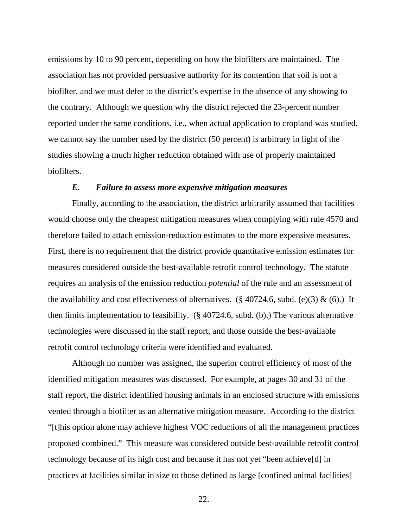emissions by 10 to 90 percent, depending on how the biofilters are maintained. The association has not provided persuasive authority for its contention that soil is not a biofilter, and we must defer to the district's expertise in the absence of any showing to the contrary. Although we question why the district rejected the 23-percent number reported under the same conditions, i.e., when actual application to cropland was studied, we cannot say the number used by the district (50 percent) is arbitrary in light of the studies showing a much higher reduction obtained with use of properly maintained biofilters.

## *E. Failure to assess more expensive mitigation measures*

 Finally, according to the association, the district arbitrarily assumed that facilities would choose only the cheapest mitigation measures when complying with rule 4570 and therefore failed to attach emission-reduction estimates to the more expensive measures. First, there is no requirement that the district provide quantitative emission estimates for measures considered outside the best-available retrofit control technology. The statute requires an analysis of the emission reduction *potential* of the rule and an assessment of the availability and cost effectiveness of alternatives. (§ 40724.6, subd. (e)(3)  $\&$  (6).) It then limits implementation to feasibility. (§ 40724.6, subd. (b).) The various alternative technologies were discussed in the staff report, and those outside the best-available retrofit control technology criteria were identified and evaluated.

 Although no number was assigned, the superior control efficiency of most of the identified mitigation measures was discussed. For example, at pages 30 and 31 of the staff report, the district identified housing animals in an enclosed structure with emissions vented through a biofilter as an alternative mitigation measure. According to the district "[t]his option alone may achieve highest VOC reductions of all the management practices proposed combined." This measure was considered outside best-available retrofit control technology because of its high cost and because it has not yet "been achieve[d] in practices at facilities similar in size to those defined as large [confined animal facilities]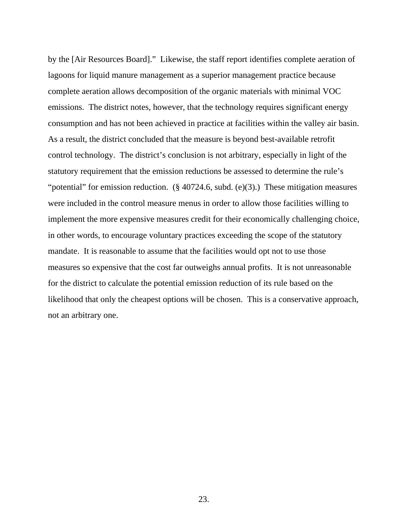by the [Air Resources Board]." Likewise, the staff report identifies complete aeration of lagoons for liquid manure management as a superior management practice because complete aeration allows decomposition of the organic materials with minimal VOC emissions. The district notes, however, that the technology requires significant energy consumption and has not been achieved in practice at facilities within the valley air basin. As a result, the district concluded that the measure is beyond best-available retrofit control technology. The district's conclusion is not arbitrary, especially in light of the statutory requirement that the emission reductions be assessed to determine the rule's "potential" for emission reduction. (§ 40724.6, subd. (e)(3).) These mitigation measures were included in the control measure menus in order to allow those facilities willing to implement the more expensive measures credit for their economically challenging choice, in other words, to encourage voluntary practices exceeding the scope of the statutory mandate. It is reasonable to assume that the facilities would opt not to use those measures so expensive that the cost far outweighs annual profits. It is not unreasonable for the district to calculate the potential emission reduction of its rule based on the likelihood that only the cheapest options will be chosen. This is a conservative approach, not an arbitrary one.